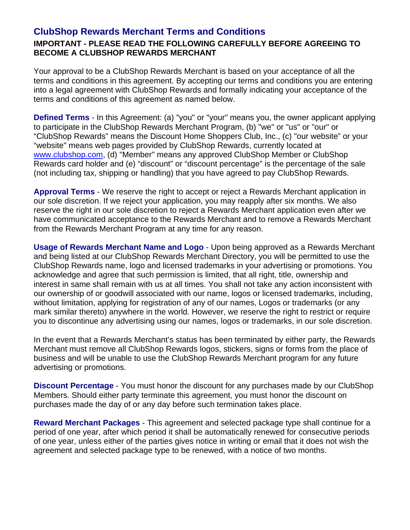## **ClubShop Rewards Merchant Terms and Conditions IMPORTANT - PLEASE READ THE FOLLOWING CAREFULLY BEFORE AGREEING TO BECOME A CLUBSHOP REWARDS MERCHANT**

Your approval to be a ClubShop Rewards Merchant is based on your acceptance of all the terms and conditions in this agreement. By accepting our terms and conditions you are entering into a legal agreement with ClubShop Rewards and formally indicating your acceptance of the terms and conditions of this agreement as named below.

**Defined Terms** - In this Agreement: (a) "you" or "your" means you, the owner applicant applying to participate in the ClubShop Rewards Merchant Program, (b) "we" or "us" or "our" or "ClubShop Rewards" means the Discount Home Shoppers Club, Inc., (c) "our website" or your "website" means web pages provided by ClubShop Rewards, currently located at www.clubshop.com, (d) "Member" means any approved ClubShop Member or ClubShop Rewards card holder and (e) "discount" or "discount percentage" is the percentage of the sale (not including tax, shipping or handling) that you have agreed to pay ClubShop Rewards.

**Approval Terms** - We reserve the right to accept or reject a Rewards Merchant application in our sole discretion. If we reject your application, you may reapply after six months. We also reserve the right in our sole discretion to reject a Rewards Merchant application even after we have communicated acceptance to the Rewards Merchant and to remove a Rewards Merchant from the Rewards Merchant Program at any time for any reason.

**Usage of Rewards Merchant Name and Logo** - Upon being approved as a Rewards Merchant and being listed at our ClubShop Rewards Merchant Directory, you will be permitted to use the ClubShop Rewards name, logo and licensed trademarks in your advertising or promotions. You acknowledge and agree that such permission is limited, that all right, title, ownership and interest in same shall remain with us at all times. You shall not take any action inconsistent with our ownership of or goodwill associated with our name, logos or licensed trademarks, including, without limitation, applying for registration of any of our names, Logos or trademarks (or any mark similar thereto) anywhere in the world. However, we reserve the right to restrict or require you to discontinue any advertising using our names, logos or trademarks, in our sole discretion.

In the event that a Rewards Merchant's status has been terminated by either party, the Rewards Merchant must remove all ClubShop Rewards logos, stickers, signs or forms from the place of business and will be unable to use the ClubShop Rewards Merchant program for any future advertising or promotions.

**Discount Percentage** - You must honor the discount for any purchases made by our ClubShop Members. Should either party terminate this agreement, you must honor the discount on purchases made the day of or any day before such termination takes place.

**Reward Merchant Packages** - This agreement and selected package type shall continue for a period of one year, after which period it shall be automatically renewed for consecutive periods of one year, unless either of the parties gives notice in writing or email that it does not wish the agreement and selected package type to be renewed, with a notice of two months.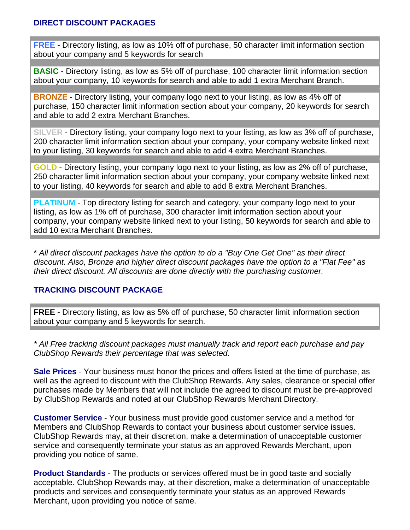## **DIRECT DISCOUNT PACKAGES**

**FREE** - Directory listing, as low as 10% off of purchase, 50 character limit information section about your company and 5 keywords for search

**BASIC** - Directory listing, as low as 5% off of purchase, 100 character limit information section about your company, 10 keywords for search and able to add 1 extra Merchant Branch.

**BRONZE** - Directory listing, your company logo next to your listing, as low as 4% off of purchase, 150 character limit information section about your company, 20 keywords for search and able to add 2 extra Merchant Branches.

**SILVER** - Directory listing, your company logo next to your listing, as low as 3% off of purchase, 200 character limit information section about your company, your company website linked next to your listing, 30 keywords for search and able to add 4 extra Merchant Branches.

**GOLD** - Directory listing, your company logo next to your listing, as low as 2% off of purchase, 250 character limit information section about your company, your company website linked next to your listing, 40 keywords for search and able to add 8 extra Merchant Branches.

**PLATINUM** - Top directory listing for search and category, your company logo next to your listing, as low as 1% off of purchase, 300 character limit information section about your company, your company website linked next to your listing, 50 keywords for search and able to add 10 extra Merchant Branches.

\* *All direct discount packages have the option to do a "Buy One Get One" as their direct discount. Also, Bronze and higher direct discount packages have the option to a "Flat Fee" as their direct discount. All discounts are done directly with the purchasing customer.* 

## **TRACKING DISCOUNT PACKAGE**

**FREE** - Directory listing, as low as 5% off of purchase, 50 character limit information section about your company and 5 keywords for search.

*\* All Free tracking discount packages must manually track and report each purchase and pay ClubShop Rewards their percentage that was selected.* 

**Sale Prices** - Your business must honor the prices and offers listed at the time of purchase, as well as the agreed to discount with the ClubShop Rewards. Any sales, clearance or special offer purchases made by Members that will not include the agreed to discount must be pre-approved by ClubShop Rewards and noted at our ClubShop Rewards Merchant Directory.

**Customer Service** - Your business must provide good customer service and a method for Members and ClubShop Rewards to contact your business about customer service issues. ClubShop Rewards may, at their discretion, make a determination of unacceptable customer service and consequently terminate your status as an approved Rewards Merchant, upon providing you notice of same.

**Product Standards** - The products or services offered must be in good taste and socially acceptable. ClubShop Rewards may, at their discretion, make a determination of unacceptable products and services and consequently terminate your status as an approved Rewards Merchant, upon providing you notice of same.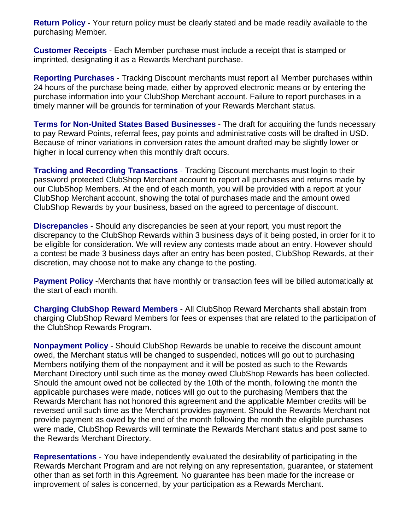**Return Policy** - Your return policy must be clearly stated and be made readily available to the purchasing Member.

**Customer Receipts** - Each Member purchase must include a receipt that is stamped or imprinted, designating it as a Rewards Merchant purchase.

**Reporting Purchases** - Tracking Discount merchants must report all Member purchases within 24 hours of the purchase being made, either by approved electronic means or by entering the purchase information into your ClubShop Merchant account. Failure to report purchases in a timely manner will be grounds for termination of your Rewards Merchant status.

**Terms for Non-United States Based Businesses** - The draft for acquiring the funds necessary to pay Reward Points, referral fees, pay points and administrative costs will be drafted in USD. Because of minor variations in conversion rates the amount drafted may be slightly lower or higher in local currency when this monthly draft occurs.

**Tracking and Recording Transactions** - Tracking Discount merchants must login to their password protected ClubShop Merchant account to report all purchases and returns made by our ClubShop Members. At the end of each month, you will be provided with a report at your ClubShop Merchant account, showing the total of purchases made and the amount owed ClubShop Rewards by your business, based on the agreed to percentage of discount.

**Discrepancies** - Should any discrepancies be seen at your report, you must report the discrepancy to the ClubShop Rewards within 3 business days of it being posted, in order for it to be eligible for consideration. We will review any contests made about an entry. However should a contest be made 3 business days after an entry has been posted, ClubShop Rewards, at their discretion, may choose not to make any change to the posting.

**Payment Policy** -Merchants that have monthly or transaction fees will be billed automatically at the start of each month.

**Charging ClubShop Reward Members** - All ClubShop Reward Merchants shall abstain from charging ClubShop Reward Members for fees or expenses that are related to the participation of the ClubShop Rewards Program.

**Nonpayment Policy** - Should ClubShop Rewards be unable to receive the discount amount owed, the Merchant status will be changed to suspended, notices will go out to purchasing Members notifying them of the nonpayment and it will be posted as such to the Rewards Merchant Directory until such time as the money owed ClubShop Rewards has been collected. Should the amount owed not be collected by the 10th of the month, following the month the applicable purchases were made, notices will go out to the purchasing Members that the Rewards Merchant has not honored this agreement and the applicable Member credits will be reversed until such time as the Merchant provides payment. Should the Rewards Merchant not provide payment as owed by the end of the month following the month the eligible purchases were made, ClubShop Rewards will terminate the Rewards Merchant status and post same to the Rewards Merchant Directory.

**Representations** - You have independently evaluated the desirability of participating in the Rewards Merchant Program and are not relying on any representation, guarantee, or statement other than as set forth in this Agreement. No guarantee has been made for the increase or improvement of sales is concerned, by your participation as a Rewards Merchant.